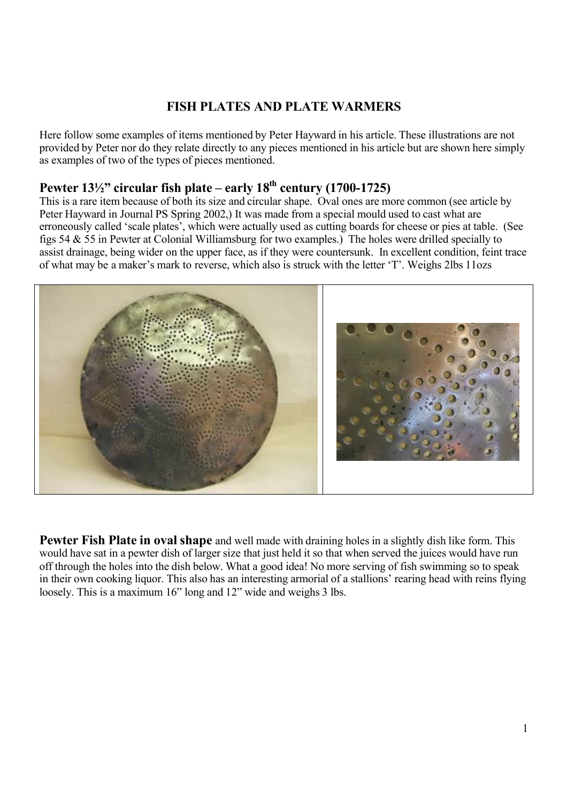## **FISH PLATES AND PLATE WARMERS**

Here follow some examples of items mentioned by Peter Hayward in his article. These illustrations are not provided by Peter nor do they relate directly to any pieces mentioned in his article but are shown here simply as examples of two of the types of pieces mentioned.

## **Pewter 13** $\frac{1}{2}$  circular fish plate – early  $18^{th}$  century (1700-1725)

This is a rare item because of both its size and circular shape. Oval ones are more common (see article by Peter Hayward in Journal PS Spring 2002,) It was made from a special mould used to cast what are erroneously called 'scale plates', which were actually used as cutting boards for cheese or pies at table. (See figs 54 & 55 in Pewter at Colonial Williamsburg for two examples.) The holes were drilled specially to assist drainage, being wider on the upper face, as if they were countersunk. In excellent condition, feint trace of what may be a maker's mark to reverse, which also is struck with the letter 'T'. Weighs 2lbs 11ozs



**Pewter Fish Plate in oval shape** and well made with draining holes in a slightly dish like form. This would have sat in a pewter dish of larger size that just held it so that when served the juices would have run off through the holes into the dish below. What a good idea! No more serving of fish swimming so to speak in their own cooking liquor. This also has an interesting armorial of a stallions' rearing head with reins flying loosely. This is a maximum 16" long and 12" wide and weighs 3 lbs.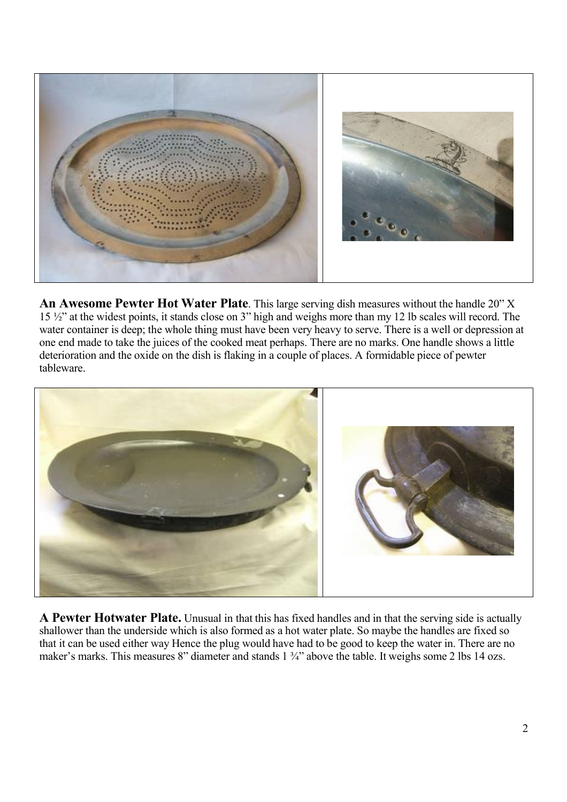

**An Awesome Pewter Hot Water Plate**. This large serving dish measures without the handle 20" X  $15\frac{1}{2}$  at the widest points, it stands close on 3" high and weighs more than my 12 lb scales will record. The water container is deep; the whole thing must have been very heavy to serve. There is a well or depression at one end made to take the juices of the cooked meat perhaps. There are no marks. One handle shows a little deterioration and the oxide on the dish is flaking in a couple of places. A formidable piece of pewter tableware.



**A Pewter Hotwater Plate.** Unusual in that this has fixed handles and in that the serving side is actually shallower than the underside which is also formed as a hot water plate. So maybe the handles are fixed so that it can be used either way Hence the plug would have had to be good to keep the water in. There are no maker's marks. This measures 8" diameter and stands 1  $\frac{3}{4}$ " above the table. It weighs some 2 lbs 14 ozs.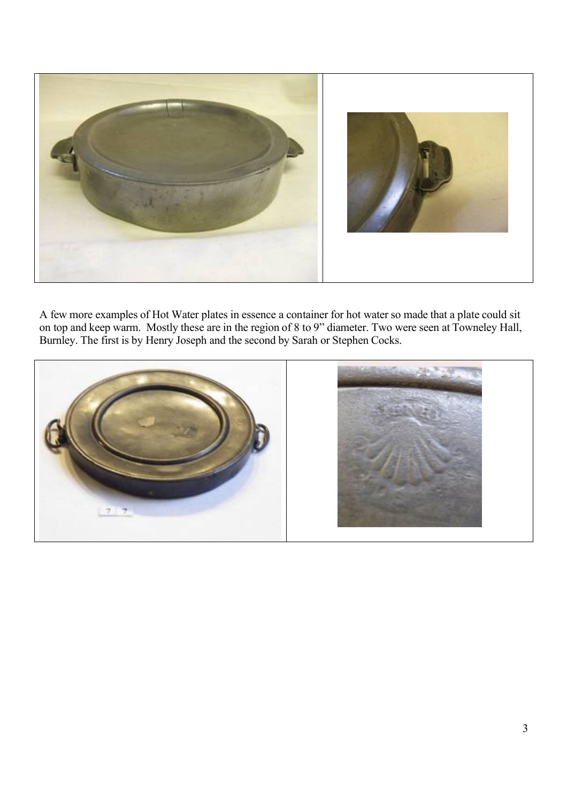

A few more examples of Hot Water plates in essence a container for hot water so made that a plate could sit on top and keep warm. Mostly these are in the region of 8 to 9" diameter. Two were seen at Towneley Hall, Burnley. The first is by Henry Joseph and the second by Sarah or Stephen Cocks.